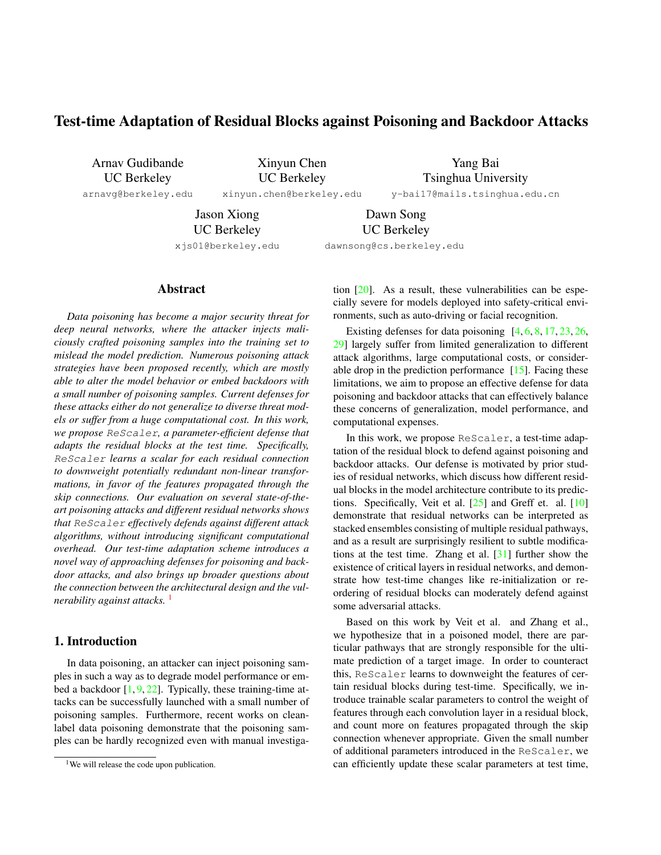# <span id="page-0-1"></span>Test-time Adaptation of Residual Blocks against Poisoning and Backdoor Attacks

Arnav Gudibande UC Berkeley

arnavg@berkeley.edu

Xinyun Chen UC Berkeley

xinyun.chen@berkeley.edu

Yang Bai Tsinghua University y-bai17@mails.tsinghua.edu.cn

Jason Xiong UC Berkeley

Dawn Song UC Berkeley

xjs01@berkeley.edu

dawnsong@cs.berkeley.edu

## Abstract

*Data poisoning has become a major security threat for deep neural networks, where the attacker injects maliciously crafted poisoning samples into the training set to mislead the model prediction. Numerous poisoning attack strategies have been proposed recently, which are mostly able to alter the model behavior or embed backdoors with a small number of poisoning samples. Current defenses for these attacks either do not generalize to diverse threat models or suffer from a huge computational cost. In this work, we propose ReScaler, a parameter-efficient defense that adapts the residual blocks at the test time. Specifically, ReScaler learns a scalar for each residual connection to downweight potentially redundant non-linear transformations, in favor of the features propagated through the skip connections. Our evaluation on several state-of-theart poisoning attacks and different residual networks shows that ReScaler effectively defends against different attack algorithms, without introducing significant computational overhead. Our test-time adaptation scheme introduces a novel way of approaching defenses for poisoning and backdoor attacks, and also brings up broader questions about the connection between the architectural design and the vulnerability against attacks.*<sup>[1](#page-0-0)</sup>

## 1. Introduction

In data poisoning, an attacker can inject poisoning samples in such a way as to degrade model performance or embed a backdoor  $[1, 9, 22]$  $[1, 9, 22]$  $[1, 9, 22]$  $[1, 9, 22]$  $[1, 9, 22]$ . Typically, these training-time attacks can be successfully launched with a small number of poisoning samples. Furthermore, recent works on cleanlabel data poisoning demonstrate that the poisoning samples can be hardly recognized even with manual investigation [\[20\]](#page-4-3). As a result, these vulnerabilities can be especially severe for models deployed into safety-critical environments, such as auto-driving or facial recognition.

Existing defenses for data poisoning  $[4, 6, 8, 17, 23, 26,$  $[4, 6, 8, 17, 23, 26,$  $[4, 6, 8, 17, 23, 26,$  $[4, 6, 8, 17, 23, 26,$  $[4, 6, 8, 17, 23, 26,$  $[4, 6, 8, 17, 23, 26,$  $[4, 6, 8, 17, 23, 26,$  $[4, 6, 8, 17, 23, 26,$  $[4, 6, 8, 17, 23, 26,$  $[4, 6, 8, 17, 23, 26,$  $[4, 6, 8, 17, 23, 26,$ [29\]](#page-4-10) largely suffer from limited generalization to different attack algorithms, large computational costs, or considerable drop in the prediction performance  $[15]$ . Facing these limitations, we aim to propose an effective defense for data poisoning and backdoor attacks that can effectively balance these concerns of generalization, model performance, and computational expenses.

In this work, we propose ReScaler, a test-time adaptation of the residual block to defend against poisoning and backdoor attacks. Our defense is motivated by prior studies of residual networks, which discuss how different residual blocks in the model architecture contribute to its predictions. Specifically, Veit et al. [\[25\]](#page-4-12) and Greff et. al. [\[10\]](#page-4-13) demonstrate that residual networks can be interpreted as stacked ensembles consisting of multiple residual pathways, and as a result are surprisingly resilient to subtle modifications at the test time. Zhang et al. [\[31\]](#page-4-14) further show the existence of critical layers in residual networks, and demonstrate how test-time changes like re-initialization or reordering of residual blocks can moderately defend against some adversarial attacks.

Based on this work by Veit et al. and Zhang et al., we hypothesize that in a poisoned model, there are particular pathways that are strongly responsible for the ultimate prediction of a target image. In order to counteract this, ReScaler learns to downweight the features of certain residual blocks during test-time. Specifically, we introduce trainable scalar parameters to control the weight of features through each convolution layer in a residual block, and count more on features propagated through the skip connection whenever appropriate. Given the small number of additional parameters introduced in the ReScaler, we can efficiently update these scalar parameters at test time,

<span id="page-0-0"></span><sup>&</sup>lt;sup>1</sup>We will release the code upon publication.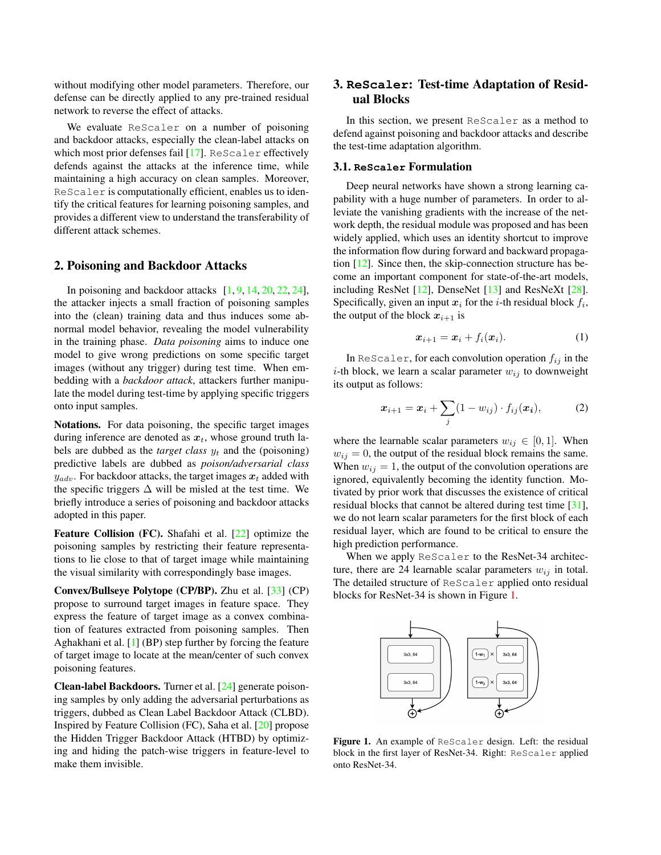<span id="page-1-1"></span>without modifying other model parameters. Therefore, our defense can be directly applied to any pre-trained residual network to reverse the effect of attacks.

We evaluate ReScaler on a number of poisoning and backdoor attacks, especially the clean-label attacks on which most prior defenses fail [\[17\]](#page-4-7). ReScaler effectively defends against the attacks at the inference time, while maintaining a high accuracy on clean samples. Moreover, ReScaler is computationally efficient, enables us to identify the critical features for learning poisoning samples, and provides a different view to understand the transferability of different attack schemes.

## 2. Poisoning and Backdoor Attacks

In poisoning and backdoor attacks  $[1, 9, 14, 20, 22, 24]$  $[1, 9, 14, 20, 22, 24]$  $[1, 9, 14, 20, 22, 24]$  $[1, 9, 14, 20, 22, 24]$  $[1, 9, 14, 20, 22, 24]$  $[1, 9, 14, 20, 22, 24]$  $[1, 9, 14, 20, 22, 24]$  $[1, 9, 14, 20, 22, 24]$  $[1, 9, 14, 20, 22, 24]$  $[1, 9, 14, 20, 22, 24]$  $[1, 9, 14, 20, 22, 24]$ , the attacker injects a small fraction of poisoning samples into the (clean) training data and thus induces some abnormal model behavior, revealing the model vulnerability in the training phase. *Data poisoning* aims to induce one model to give wrong predictions on some specific target images (without any trigger) during test time. When embedding with a *backdoor attack*, attackers further manipulate the model during test-time by applying specific triggers onto input samples.

Notations. For data poisoning, the specific target images during inference are denoted as  $x_t$ , whose ground truth labels are dubbed as the *target class*  $y_t$  and the (poisoning) predictive labels are dubbed as *poison/adversarial class*  $y_{adv}$ . For backdoor attacks, the target images  $x_t$  added with the specific triggers  $\Delta$  will be misled at the test time. We briefly introduce a series of poisoning and backdoor attacks adopted in this paper.

Feature Collision (FC). Shafahi et al. [\[22\]](#page-4-2) optimize the poisoning samples by restricting their feature representations to lie close to that of target image while maintaining the visual similarity with correspondingly base images.

Convex/Bullseye Polytope (CP/BP). Zhu et al. [\[33\]](#page-5-0) (CP) propose to surround target images in feature space. They express the feature of target image as a convex combination of features extracted from poisoning samples. Then Aghakhani et al. [\[1\]](#page-4-0) (BP) step further by forcing the feature of target image to locate at the mean/center of such convex poisoning features.

Clean-label Backdoors. Turner et al. [\[24\]](#page-4-16) generate poisoning samples by only adding the adversarial perturbations as triggers, dubbed as Clean Label Backdoor Attack (CLBD). Inspired by Feature Collision (FC), Saha et al. [\[20\]](#page-4-3) propose the Hidden Trigger Backdoor Attack (HTBD) by optimizing and hiding the patch-wise triggers in feature-level to make them invisible.

## 3. **ReScaler**: Test-time Adaptation of Residual Blocks

In this section, we present ReScaler as a method to defend against poisoning and backdoor attacks and describe the test-time adaptation algorithm.

#### 3.1. **ReScaler** Formulation

Deep neural networks have shown a strong learning capability with a huge number of parameters. In order to alleviate the vanishing gradients with the increase of the network depth, the residual module was proposed and has been widely applied, which uses an identity shortcut to improve the information flow during forward and backward propagation [\[12\]](#page-4-17). Since then, the skip-connection structure has become an important component for state-of-the-art models, including ResNet [\[12\]](#page-4-17), DenseNet [\[13\]](#page-4-18) and ResNeXt [\[28\]](#page-4-19). Specifically, given an input  $x_i$  for the *i*-th residual block  $f_i$ , the output of the block  $x_{i+1}$  is

$$
\boldsymbol{x}_{i+1} = \boldsymbol{x}_i + f_i(\boldsymbol{x}_i). \tag{1}
$$

In ReScaler, for each convolution operation  $f_{ij}$  in the *i*-th block, we learn a scalar parameter  $w_{ij}$  to downweight its output as follows:

$$
\boldsymbol{x}_{i+1} = \boldsymbol{x}_i + \sum_j (1 - w_{ij}) \cdot f_{ij}(\boldsymbol{x_i}), \qquad (2)
$$

where the learnable scalar parameters  $w_{ij} \in [0, 1]$ . When  $w_{ij} = 0$ , the output of the residual block remains the same. When  $w_{ij} = 1$ , the output of the convolution operations are ignored, equivalently becoming the identity function. Motivated by prior work that discusses the existence of critical residual blocks that cannot be altered during test time [\[31\]](#page-4-14), we do not learn scalar parameters for the first block of each residual layer, which are found to be critical to ensure the high prediction performance.

When we apply ReScaler to the ResNet-34 architecture, there are 24 learnable scalar parameters  $w_{ij}$  in total. The detailed structure of ReScaler applied onto residual blocks for ResNet-34 is shown in Figure [1.](#page-1-0)

<span id="page-1-0"></span>

Figure 1. An example of ReScaler design. Left: the residual block in the first layer of ResNet-34. Right: ReScaler applied onto ResNet-34.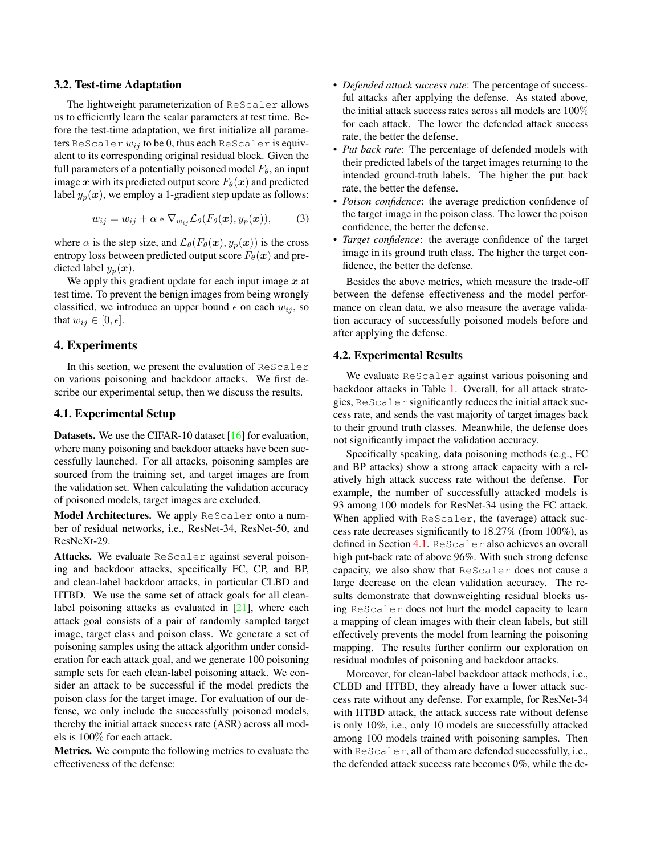#### <span id="page-2-1"></span>3.2. Test-time Adaptation

The lightweight parameterization of ReScaler allows us to efficiently learn the scalar parameters at test time. Before the test-time adaptation, we first initialize all parameters ReScaler *wij* to be 0, thus each ReScaler is equivalent to its corresponding original residual block. Given the full parameters of a potentially poisoned model  $F_{\theta}$ , an input image *x* with its predicted output score  $F_{\theta}(x)$  and predicted label  $y_p(x)$ , we employ a 1-gradient step update as follows:

$$
w_{ij} = w_{ij} + \alpha * \nabla_{w_{ij}} \mathcal{L}_{\theta}(F_{\theta}(\boldsymbol{x}), y_{p}(\boldsymbol{x})), \qquad (3)
$$

where  $\alpha$  is the step size, and  $\mathcal{L}_{\theta}(F_{\theta}(\boldsymbol{x}), y_{p}(\boldsymbol{x}))$  is the cross entropy loss between predicted output score  $F_{\theta}(\boldsymbol{x})$  and predicted label  $y_p(x)$ .

We apply this gradient update for each input image *x* at test time. To prevent the benign images from being wrongly classified, we introduce an upper bound  $\epsilon$  on each  $w_{ij}$ , so that  $w_{ij} \in [0, \epsilon]$ .

## 4. Experiments

In this section, we present the evaluation of ReScaler on various poisoning and backdoor attacks. We first describe our experimental setup, then we discuss the results.

### <span id="page-2-0"></span>4.1. Experimental Setup

Datasets. We use the CIFAR-10 dataset [\[16\]](#page-4-20) for evaluation, where many poisoning and backdoor attacks have been successfully launched. For all attacks, poisoning samples are sourced from the training set, and target images are from the validation set. When calculating the validation accuracy of poisoned models, target images are excluded.

Model Architectures. We apply ReScaler onto a number of residual networks, i.e., ResNet-34, ResNet-50, and ResNeXt-29.

Attacks. We evaluate ReScaler against several poisoning and backdoor attacks, specifically FC, CP, and BP, and clean-label backdoor attacks, in particular CLBD and HTBD. We use the same set of attack goals for all cleanlabel poisoning attacks as evaluated in  $[21]$ , where each attack goal consists of a pair of randomly sampled target image, target class and poison class. We generate a set of poisoning samples using the attack algorithm under consideration for each attack goal, and we generate 100 poisoning sample sets for each clean-label poisoning attack. We consider an attack to be successful if the model predicts the poison class for the target image. For evaluation of our defense, we only include the successfully poisoned models, thereby the initial attack success rate (ASR) across all models is 100% for each attack.

Metrics. We compute the following metrics to evaluate the effectiveness of the defense:

- *Defended attack success rate*: The percentage of successful attacks after applying the defense. As stated above, the initial attack success rates across all models are 100% for each attack. The lower the defended attack success rate, the better the defense.
- *Put back rate*: The percentage of defended models with their predicted labels of the target images returning to the intended ground-truth labels. The higher the put back rate, the better the defense.
- *Poison confidence*: the average prediction confidence of the target image in the poison class. The lower the poison confidence, the better the defense.
- *Target confidence*: the average confidence of the target image in its ground truth class. The higher the target confidence, the better the defense.

Besides the above metrics, which measure the trade-off between the defense effectiveness and the model performance on clean data, we also measure the average validation accuracy of successfully poisoned models before and after applying the defense.

## 4.2. Experimental Results

We evaluate ReScaler against various poisoning and backdoor attacks in Table [1.](#page-3-0) Overall, for all attack strategies, ReScaler significantly reduces the initial attack success rate, and sends the vast majority of target images back to their ground truth classes. Meanwhile, the defense does not significantly impact the validation accuracy.

Specifically speaking, data poisoning methods (e.g., FC and BP attacks) show a strong attack capacity with a relatively high attack success rate without the defense. For example, the number of successfully attacked models is 93 among 100 models for ResNet-34 using the FC attack. When applied with ReScaler, the (average) attack success rate decreases significantly to 18.27% (from 100%), as defined in Section [4.1.](#page-2-0) ReScaler also achieves an overall high put-back rate of above 96%. With such strong defense capacity, we also show that ReScaler does not cause a large decrease on the clean validation accuracy. The results demonstrate that downweighting residual blocks using ReScaler does not hurt the model capacity to learn a mapping of clean images with their clean labels, but still effectively prevents the model from learning the poisoning mapping. The results further confirm our exploration on residual modules of poisoning and backdoor attacks.

Moreover, for clean-label backdoor attack methods, i.e., CLBD and HTBD, they already have a lower attack success rate without any defense. For example, for ResNet-34 with HTBD attack, the attack success rate without defense is only 10%, i.e., only 10 models are successfully attacked among 100 models trained with poisoning samples. Then with ReScaler, all of them are defended successfully, i.e., the defended attack success rate becomes 0%, while the de-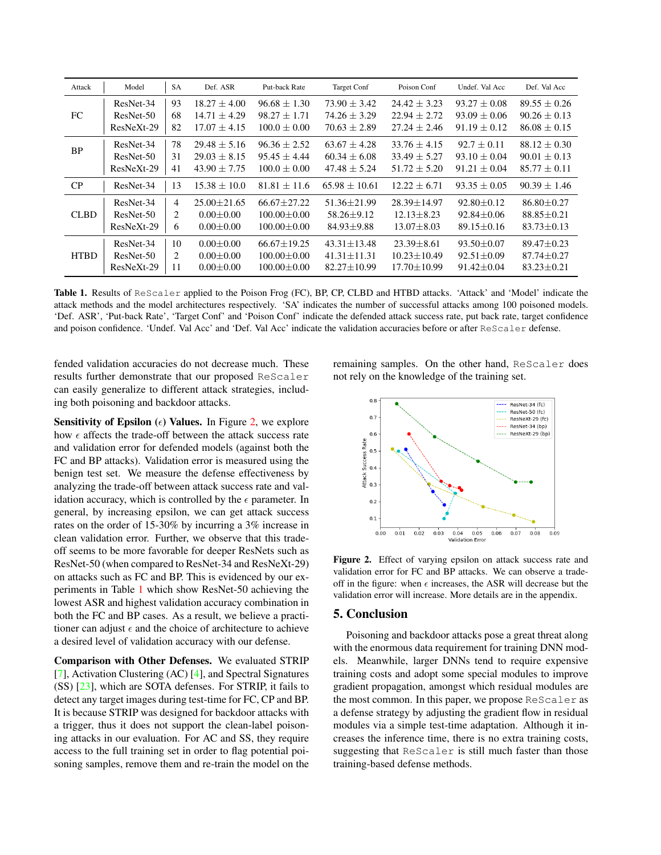<span id="page-3-2"></span><span id="page-3-0"></span>

| Attack      | Model        | <b>SA</b>      | Def. ASR          | Put-back Rate     | <b>Target Conf</b> | Poison Conf       | Undef. Val Acc   | Def. Val Acc     |
|-------------|--------------|----------------|-------------------|-------------------|--------------------|-------------------|------------------|------------------|
|             | ResNet-34    | 93             | $18.27 + 4.00$    | $96.68 + 1.30$    | $73.90 + 3.42$     | $24.42 + 3.23$    | $93.27 \pm 0.08$ | $89.55 + 0.26$   |
| FC          | ResNet-50    | 68             | $14.71 + 4.29$    | $98.27 \pm 1.71$  | $74.26 + 3.29$     | $22.94 \pm 2.72$  | $93.09 + 0.06$   | $90.26 \pm 0.13$ |
|             | ResNeXt-29   | 82             | $17.07 + 4.15$    | $100.0 + 0.00$    | $70.63 + 2.89$     | $27.24 + 2.46$    | $91.19 \pm 0.12$ | $86.08 \pm 0.15$ |
| <b>BP</b>   | ResNet-34    | 78             | $29.48 \pm 5.16$  | $96.36 \pm 2.52$  | $63.67 + 4.28$     | $33.76 \pm 4.15$  | $92.7 \pm 0.11$  | $88.12 \pm 0.30$ |
|             | ResNet-50    | 31             | $29.03 \pm 8.15$  | $95.45 \pm 4.44$  | $60.34 + 6.08$     | $33.49 \pm 5.27$  | $93.10 \pm 0.04$ | $90.01 + 0.13$   |
|             | $ResNeXt-29$ | 41             | $43.90 \pm 7.75$  | $100.0 \pm 0.00$  | $47.48 \pm 5.24$   | $51.72 + 5.20$    | $91.21 \pm 0.04$ | $85.77 + 0.11$   |
| CP          | ResNet-34    | 13             | $15.38 + 10.0$    | $81.81 \pm 11.6$  | $65.98 \pm 10.61$  | $12.22 + 6.71$    | $93.35 + 0.05$   | $90.39 + 1.46$   |
|             | ResNet-34    | $\overline{4}$ | $25.00 \pm 21.65$ | $66.67 + 27.22$   | $51.36 + 21.99$    | $28.39 + 14.97$   | $92.80 + 0.12$   | $86.80 \pm 0.27$ |
| <b>CLBD</b> | ResNet-50    | 2              | $0.00 + 0.00$     | $100.00 + 0.00$   | $58.26 + 9.12$     | $12.13 + 8.23$    | $92.84 + 0.06$   | $88.85 \pm 0.21$ |
|             | ResNeXt-29   | 6              | $0.00 \pm 0.00$   | $100.00 \pm 0.00$ | $84.93 \pm 9.88$   | $13.07 \pm 8.03$  | $89.15 \pm 0.16$ | $83.73 \pm 0.13$ |
|             | ResNet-34    | 10             | $0.00 + 0.00$     | $66.67 + 19.25$   | $43.31 \pm 13.48$  | $23.39 + 8.61$    | $93.50 + 0.07$   | $89.47 + 0.23$   |
| <b>HTBD</b> | ResNet-50    | 2              | $0.00 \pm 0.00$   | $100.00 \pm 0.00$ | $41.31 \pm 11.31$  | $10.23 + 10.49$   | $92.51 \pm 0.09$ | $87.74 \pm 0.27$ |
|             | $ResNeXt-29$ | 11             | $0.00 \pm 0.00$   | $100.00 \pm 0.00$ | $82.27 \pm 10.99$  | $17.70 \pm 10.99$ | $91.42 \pm 0.04$ | $83.23 \pm 0.21$ |

Table 1. Results of ReScaler applied to the Poison Frog (FC), BP, CP, CLBD and HTBD attacks. 'Attack' and 'Model' indicate the attack methods and the model architectures respectively. 'SA' indicates the number of successful attacks among 100 poisoned models. 'Def. ASR', 'Put-back Rate', 'Target Conf' and 'Poison Conf' indicate the defended attack success rate, put back rate, target confidence and poison confidence. 'Undef. Val Acc' and 'Def. Val Acc' indicate the validation accuracies before or after ReScaler defense.

fended validation accuracies do not decrease much. These results further demonstrate that our proposed ReScaler can easily generalize to different attack strategies, including both poisoning and backdoor attacks.

Sensitivity of Epsilon  $(\epsilon)$  Values. In Figure [2,](#page-3-1) we explore how  $\epsilon$  affects the trade-off between the attack success rate and validation error for defended models (against both the FC and BP attacks). Validation error is measured using the benign test set. We measure the defense effectiveness by analyzing the trade-off between attack success rate and validation accuracy, which is controlled by the  $\epsilon$  parameter. In general, by increasing epsilon, we can get attack success rates on the order of 15-30% by incurring a 3% increase in clean validation error. Further, we observe that this tradeoff seems to be more favorable for deeper ResNets such as ResNet-50 (when compared to ResNet-34 and ResNeXt-29) on attacks such as FC and BP. This is evidenced by our experiments in Table [1](#page-3-0) which show ResNet-50 achieving the lowest ASR and highest validation accuracy combination in both the FC and BP cases. As a result, we believe a practitioner can adjust  $\epsilon$  and the choice of architecture to achieve a desired level of validation accuracy with our defense.

Comparison with Other Defenses. We evaluated STRIP [\[7\]](#page-4-22), Activation Clustering (AC) [\[4\]](#page-4-4), and Spectral Signatures (SS) [\[23\]](#page-4-8), which are SOTA defenses. For STRIP, it fails to detect any target images during test-time for FC, CP and BP. It is because STRIP was designed for backdoor attacks with a trigger, thus it does not support the clean-label poisoning attacks in our evaluation. For AC and SS, they require access to the full training set in order to flag potential poisoning samples, remove them and re-train the model on the

remaining samples. On the other hand, ReScaler does not rely on the knowledge of the training set.

<span id="page-3-1"></span>

Figure 2. Effect of varying epsilon on attack success rate and validation error for FC and BP attacks. We can observe a tradeoff in the figure: when  $\epsilon$  increases, the ASR will decrease but the validation error will increase. More details are in the appendix.

## 5. Conclusion

Poisoning and backdoor attacks pose a great threat along with the enormous data requirement for training DNN models. Meanwhile, larger DNNs tend to require expensive training costs and adopt some special modules to improve gradient propagation, amongst which residual modules are the most common. In this paper, we propose ReScaler as a defense strategy by adjusting the gradient flow in residual modules via a simple test-time adaptation. Although it increases the inference time, there is no extra training costs, suggesting that ReScaler is still much faster than those training-based defense methods.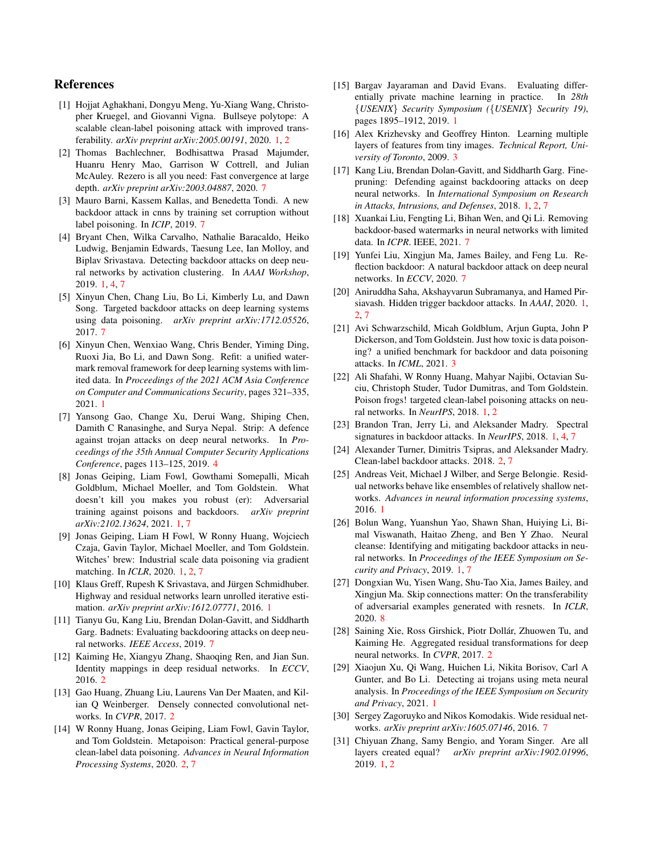## References

- <span id="page-4-0"></span>[1] Hojjat Aghakhani, Dongyu Meng, Yu-Xiang Wang, Christopher Kruegel, and Giovanni Vigna. Bullseye polytope: A scalable clean-label poisoning attack with improved transferability. *arXiv preprint arXiv:2005.00191*, 2020. [1,](#page-0-1) [2](#page-1-1)
- [2] Thomas Bachlechner, Bodhisattwa Prasad Majumder, Huanru Henry Mao, Garrison W Cottrell, and Julian McAuley. Rezero is all you need: Fast convergence at large depth. *arXiv preprint arXiv:2003.04887*, 2020. [7](#page-0-1)
- [3] Mauro Barni, Kassem Kallas, and Benedetta Tondi. A new backdoor attack in cnns by training set corruption without label poisoning. In *ICIP*, 2019. [7](#page-0-1)
- <span id="page-4-4"></span>[4] Bryant Chen, Wilka Carvalho, Nathalie Baracaldo, Heiko Ludwig, Benjamin Edwards, Taesung Lee, Ian Molloy, and Biplav Srivastava. Detecting backdoor attacks on deep neural networks by activation clustering. In *AAAI Workshop*, 2019. [1,](#page-0-1) [4,](#page-3-2) [7](#page-0-1)
- [5] Xinyun Chen, Chang Liu, Bo Li, Kimberly Lu, and Dawn Song. Targeted backdoor attacks on deep learning systems using data poisoning. *arXiv preprint arXiv:1712.05526*, 2017. [7](#page-0-1)
- <span id="page-4-5"></span>[6] Xinyun Chen, Wenxiao Wang, Chris Bender, Yiming Ding, Ruoxi Jia, Bo Li, and Dawn Song. Refit: a unified watermark removal framework for deep learning systems with limited data. In *Proceedings of the 2021 ACM Asia Conference on Computer and Communications Security*, pages 321–335, 2021. [1](#page-0-1)
- <span id="page-4-22"></span>[7] Yansong Gao, Change Xu, Derui Wang, Shiping Chen, Damith C Ranasinghe, and Surya Nepal. Strip: A defence against trojan attacks on deep neural networks. In *Proceedings of the 35th Annual Computer Security Applications Conference*, pages 113–125, 2019. [4](#page-3-2)
- <span id="page-4-6"></span>[8] Jonas Geiping, Liam Fowl, Gowthami Somepalli, Micah Goldblum, Michael Moeller, and Tom Goldstein. What doesn't kill you makes you robust (er): Adversarial training against poisons and backdoors. *arXiv preprint arXiv:2102.13624*, 2021. [1,](#page-0-1) [7](#page-0-1)
- <span id="page-4-1"></span>[9] Jonas Geiping, Liam H Fowl, W Ronny Huang, Wojciech Czaja, Gavin Taylor, Michael Moeller, and Tom Goldstein. Witches' brew: Industrial scale data poisoning via gradient matching. In *ICLR*, 2020. [1,](#page-0-1) [2,](#page-1-1) [7](#page-0-1)
- <span id="page-4-13"></span>[10] Klaus Greff, Rupesh K Srivastava, and Jürgen Schmidhuber. Highway and residual networks learn unrolled iterative estimation. *arXiv preprint arXiv:1612.07771*, 2016. [1](#page-0-1)
- [11] Tianyu Gu, Kang Liu, Brendan Dolan-Gavitt, and Siddharth Garg. Badnets: Evaluating backdooring attacks on deep neural networks. *IEEE Access*, 2019. [7](#page-0-1)
- <span id="page-4-17"></span>[12] Kaiming He, Xiangyu Zhang, Shaoqing Ren, and Jian Sun. Identity mappings in deep residual networks. In *ECCV*, 2016. [2](#page-1-1)
- <span id="page-4-18"></span>[13] Gao Huang, Zhuang Liu, Laurens Van Der Maaten, and Kilian Q Weinberger. Densely connected convolutional networks. In *CVPR*, 2017. [2](#page-1-1)
- <span id="page-4-15"></span>[14] W Ronny Huang, Jonas Geiping, Liam Fowl, Gavin Taylor, and Tom Goldstein. Metapoison: Practical general-purpose clean-label data poisoning. *Advances in Neural Information Processing Systems*, 2020. [2,](#page-1-1) [7](#page-0-1)
- <span id="page-4-11"></span>[15] Bargav Jayaraman and David Evans. Evaluating differentially private machine learning in practice. In *28th {USENIX} Security Symposium ({USENIX} Security 19)*, pages 1895–1912, 2019. [1](#page-0-1)
- <span id="page-4-20"></span>[16] Alex Krizhevsky and Geoffrey Hinton. Learning multiple layers of features from tiny images. *Technical Report, University of Toronto*, 2009. [3](#page-2-1)
- <span id="page-4-7"></span>[17] Kang Liu, Brendan Dolan-Gavitt, and Siddharth Garg. Finepruning: Defending against backdooring attacks on deep neural networks. In *International Symposium on Research in Attacks, Intrusions, and Defenses*, 2018. [1,](#page-0-1) [2,](#page-1-1) [7](#page-0-1)
- [18] Xuankai Liu, Fengting Li, Bihan Wen, and Qi Li. Removing backdoor-based watermarks in neural networks with limited data. In *ICPR*. IEEE, 2021. [7](#page-0-1)
- [19] Yunfei Liu, Xingjun Ma, James Bailey, and Feng Lu. Reflection backdoor: A natural backdoor attack on deep neural networks. In *ECCV*, 2020. [7](#page-0-1)
- <span id="page-4-3"></span>[20] Aniruddha Saha, Akshayvarun Subramanya, and Hamed Pirsiavash. Hidden trigger backdoor attacks. In *AAAI*, 2020. [1,](#page-0-1) [2,](#page-1-1) [7](#page-0-1)
- <span id="page-4-21"></span>[21] Avi Schwarzschild, Micah Goldblum, Arjun Gupta, John P Dickerson, and Tom Goldstein. Just how toxic is data poisoning? a unified benchmark for backdoor and data poisoning attacks. In *ICML*, 2021. [3](#page-2-1)
- <span id="page-4-2"></span>[22] Ali Shafahi, W Ronny Huang, Mahyar Najibi, Octavian Suciu, Christoph Studer, Tudor Dumitras, and Tom Goldstein. Poison frogs! targeted clean-label poisoning attacks on neural networks. In *NeurIPS*, 2018. [1,](#page-0-1) [2](#page-1-1)
- <span id="page-4-8"></span>[23] Brandon Tran, Jerry Li, and Aleksander Madry. Spectral signatures in backdoor attacks. In *NeurIPS*, 2018. [1,](#page-0-1) [4,](#page-3-2) [7](#page-0-1)
- <span id="page-4-16"></span>[24] Alexander Turner, Dimitris Tsipras, and Aleksander Madry. Clean-label backdoor attacks. 2018. [2,](#page-1-1) [7](#page-0-1)
- <span id="page-4-12"></span>[25] Andreas Veit, Michael J Wilber, and Serge Belongie. Residual networks behave like ensembles of relatively shallow networks. *Advances in neural information processing systems*, 2016. [1](#page-0-1)
- <span id="page-4-9"></span>[26] Bolun Wang, Yuanshun Yao, Shawn Shan, Huiying Li, Bimal Viswanath, Haitao Zheng, and Ben Y Zhao. Neural cleanse: Identifying and mitigating backdoor attacks in neural networks. In *Proceedings of the IEEE Symposium on Security and Privacy*, 2019. [1,](#page-0-1) [7](#page-0-1)
- [27] Dongxian Wu, Yisen Wang, Shu-Tao Xia, James Bailey, and Xingjun Ma. Skip connections matter: On the transferability of adversarial examples generated with resnets. In *ICLR*, 2020. [8](#page-0-1)
- <span id="page-4-19"></span>[28] Saining Xie, Ross Girshick, Piotr Dollár, Zhuowen Tu, and Kaiming He. Aggregated residual transformations for deep neural networks. In *CVPR*, 2017. [2](#page-1-1)
- <span id="page-4-10"></span>[29] Xiaojun Xu, Qi Wang, Huichen Li, Nikita Borisov, Carl A Gunter, and Bo Li. Detecting ai trojans using meta neural analysis. In *Proceedings of the IEEE Symposium on Security and Privacy*, 2021. [1](#page-0-1)
- [30] Sergey Zagoruyko and Nikos Komodakis. Wide residual networks. *arXiv preprint arXiv:1605.07146*, 2016. [7](#page-0-1)
- <span id="page-4-14"></span>[31] Chiyuan Zhang, Samy Bengio, and Yoram Singer. Are all layers created equal? *arXiv preprint arXiv:1902.01996*, 2019. [1,](#page-0-1) [2](#page-1-1)